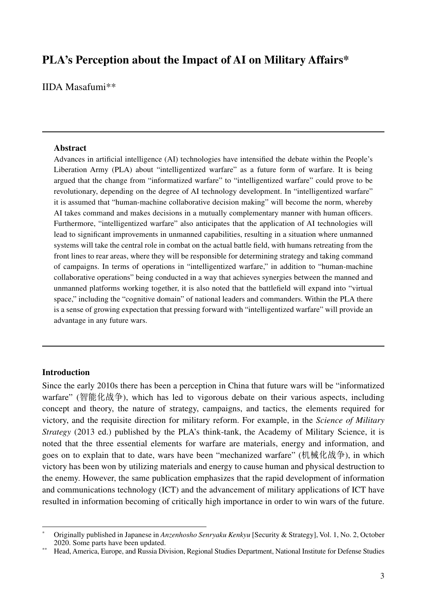# **PLA's Perception about the Impact of AI on Military Affairs\***

IIDA Masafumi\*\*

#### **Abstract**

Advances in artificial intelligence (AI) technologies have intensified the debate within the People's Liberation Army (PLA) about "intelligentized warfare" as a future form of warfare. It is being argued that the change from "informatized warfare" to "intelligentized warfare" could prove to be revolutionary, depending on the degree of AI technology development. In "intelligentized warfare" it is assumed that "human-machine collaborative decision making" will become the norm, whereby AI takes command and makes decisions in a mutually complementary manner with human officers. Furthermore, "intelligentized warfare" also anticipates that the application of AI technologies will lead to significant improvements in unmanned capabilities, resulting in a situation where unmanned systems will take the central role in combat on the actual battle field, with humans retreating from the front lines to rear areas, where they will be responsible for determining strategy and taking command of campaigns. In terms of operations in "intelligentized warfare," in addition to "human-machine collaborative operations" being conducted in a way that achieves synergies between the manned and unmanned platforms working together, it is also noted that the battlefield will expand into "virtual space," including the "cognitive domain" of national leaders and commanders. Within the PLA there is a sense of growing expectation that pressing forward with "intelligentized warfare" will provide an advantage in any future wars.

### **Introduction**

Since the early 2010s there has been a perception in China that future wars will be "informatized warfare" (智能化战争), which has led to vigorous debate on their various aspects, including concept and theory, the nature of strategy, campaigns, and tactics, the elements required for victory, and the requisite direction for military reform. For example, in the *Science of Military Strategy* (2013 ed.) published by the PLA's think-tank, the Academy of Military Science, it is noted that the three essential elements for warfare are materials, energy and information, and goes on to explain that to date, wars have been "mechanized warfare" (机械化战争), in which victory has been won by utilizing materials and energy to cause human and physical destruction to the enemy. However, the same publication emphasizes that the rapid development of information and communications technology (ICT) and the advancement of military applications of ICT have resulted in information becoming of critically high importance in order to win wars of the future.

<sup>\*</sup> Originally published in Japanese in *Anzenhosho Senryaku Kenkyu* [Security & Strategy], Vol. 1, No. 2, October 2020. Some parts have been updated.

<sup>\*\*</sup> Head, America, Europe, and Russia Division, Regional Studies Department, National Institute for Defense Studies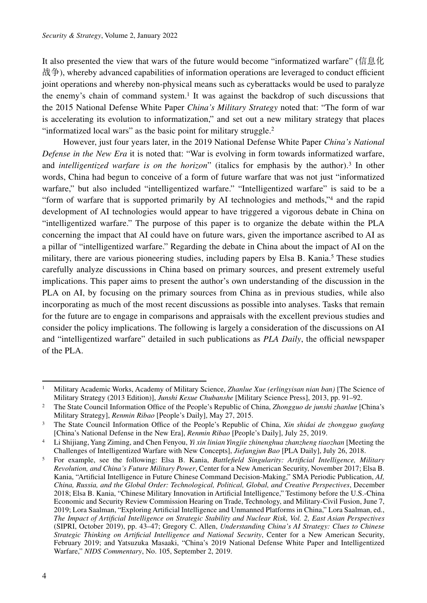It also presented the view that wars of the future would become "informatized warfare" (信息化 战争), whereby advanced capabilities of information operations are leveraged to conduct efficient joint operations and whereby non-physical means such as cyberattacks would be used to paralyze the enemy's chain of command system.1 It was against the backdrop of such discussions that the 2015 National Defense White Paper *China's Military Strategy* noted that: "The form of war is accelerating its evolution to informatization," and set out a new military strategy that places "informatized local wars" as the basic point for military struggle.<sup>2</sup>

However, just four years later, in the 2019 National Defense White Paper *China's National Defense in the New Era* it is noted that: "War is evolving in form towards informatized warfare, and *intelligentized warfare is on the horizon*" (italics for emphasis by the author).3 In other words, China had begun to conceive of a form of future warfare that was not just "informatized warfare," but also included "intelligentized warfare." "Intelligentized warfare" is said to be a "form of warfare that is supported primarily by AI technologies and methods,"4 and the rapid development of AI technologies would appear to have triggered a vigorous debate in China on "intelligentized warfare." The purpose of this paper is to organize the debate within the PLA concerning the impact that AI could have on future wars, given the importance ascribed to AI as a pillar of "intelligentized warfare." Regarding the debate in China about the impact of AI on the military, there are various pioneering studies, including papers by Elsa B. Kania.<sup>5</sup> These studies carefully analyze discussions in China based on primary sources, and present extremely useful implications. This paper aims to present the author's own understanding of the discussion in the PLA on AI, by focusing on the primary sources from China as in previous studies, while also incorporating as much of the most recent discussions as possible into analyses. Tasks that remain for the future are to engage in comparisons and appraisals with the excellent previous studies and consider the policy implications. The following is largely a consideration of the discussions on AI and "intelligentized warfare" detailed in such publications as *PLA Daily*, the official newspaper of the PLA.

<sup>1</sup> Military Academic Works, Academy of Military Science, *Zhanlue Xue (erlingyisan nian ban)* [The Science of Military Strategy (2013 Edition)], *Junshi Kexue Chubanshe* [Military Science Press], 2013, pp. 91–92.

<sup>2</sup> The State Council Information Office of the People's Republic of China, *Zhongguo de junshi zhanlue* [China's Military Strategy], *Renmin Ribao* [People's Daily], May 27, 2015.

<sup>3</sup> The State Council Information Office of the People's Republic of China, *Xin shidai de zhongguo guofang* [China's National Defense in the New Era], *Renmin Ribao* [People's Daily], July 25, 2019.

<sup>4</sup> Li Shijiang, Yang Ziming, and Chen Fenyou, *Yi xin linian Yingjie zhinenghua zhanzheng tiaozhan* [Meeting the Challenges of Intelligentized Warfare with New Concepts], *Jiefangjun Bao* [PLA Daily], July 26, 2018.

<sup>5</sup> For example, see the following: Elsa B. Kania, *Battlefield Singularity: Artificial Intelligence, Military Revolution, and China's Future Military Power*, Center for a New American Security, November 2017; Elsa B. Kania, "Artificial Intelligence in Future Chinese Command Decision-Making," SMA Periodic Publication, *AI, China, Russia, and the Global Order: Technological, Political, Global, and Creative Perspectives*, December 2018; Elsa B. Kania, "Chinese Military Innovation in Artificial Intelligence," Testimony before the U.S.-China Economic and Security Review Commission Hearing on Trade, Technology, and Military-Civil Fusion, June 7, 2019; Lora Saalman, "Exploring Artificial Intelligence and Unmanned Platforms in China," Lora Saalman, ed., *The Impact of Artificial Intelligence on Strategic Stability and Nuclear Risk, Vol. 2, East Asian Perspectives* (SIPRI, October 2019), pp. 43–47; Gregory C. Allen, *Understanding China's AI Strategy: Clues to Chinese Strategic Thinking on Artificial Intelligence and National Security*, Center for a New American Security, February 2019; and Yatsuzuka Masaaki, "China's 2019 National Defense White Paper and Intelligentized Warfare," *NIDS Commentary*, No. 105, September 2, 2019.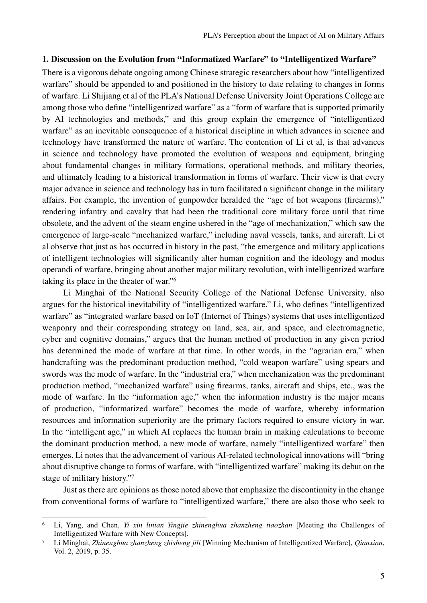## **1. Discussion on the Evolution from "Informatized Warfare" to "Intelligentized Warfare"**

There is a vigorous debate ongoing among Chinese strategic researchers about how "intelligentized warfare" should be appended to and positioned in the history to date relating to changes in forms of warfare. Li Shijiang et al of the PLA's National Defense University Joint Operations College are among those who define "intelligentized warfare" as a "form of warfare that is supported primarily by AI technologies and methods," and this group explain the emergence of "intelligentized warfare" as an inevitable consequence of a historical discipline in which advances in science and technology have transformed the nature of warfare. The contention of Li et al, is that advances in science and technology have promoted the evolution of weapons and equipment, bringing about fundamental changes in military formations, operational methods, and military theories, and ultimately leading to a historical transformation in forms of warfare. Their view is that every major advance in science and technology has in turn facilitated a significant change in the military affairs. For example, the invention of gunpowder heralded the "age of hot weapons (firearms)," rendering infantry and cavalry that had been the traditional core military force until that time obsolete, and the advent of the steam engine ushered in the "age of mechanization," which saw the emergence of large-scale "mechanized warfare," including naval vessels, tanks, and aircraft. Li et al observe that just as has occurred in history in the past, "the emergence and military applications of intelligent technologies will significantly alter human cognition and the ideology and modus operandi of warfare, bringing about another major military revolution, with intelligentized warfare taking its place in the theater of war."6

Li Minghai of the National Security College of the National Defense University, also argues for the historical inevitability of "intelligentized warfare." Li, who defines "intelligentized warfare" as "integrated warfare based on IoT (Internet of Things) systems that uses intelligentized weaponry and their corresponding strategy on land, sea, air, and space, and electromagnetic, cyber and cognitive domains," argues that the human method of production in any given period has determined the mode of warfare at that time. In other words, in the "agrarian era," when handcrafting was the predominant production method, "cold weapon warfare" using spears and swords was the mode of warfare. In the "industrial era," when mechanization was the predominant production method, "mechanized warfare" using firearms, tanks, aircraft and ships, etc., was the mode of warfare. In the "information age," when the information industry is the major means of production, "informatized warfare" becomes the mode of warfare, whereby information resources and information superiority are the primary factors required to ensure victory in war. In the "intelligent age," in which AI replaces the human brain in making calculations to become the dominant production method, a new mode of warfare, namely "intelligentized warfare" then emerges. Li notes that the advancement of various AI-related technological innovations will "bring about disruptive change to forms of warfare, with "intelligentized warfare" making its debut on the stage of military history."7

Just as there are opinions as those noted above that emphasize the discontinuity in the change from conventional forms of warfare to "intelligentized warfare," there are also those who seek to

<sup>6</sup> Li, Yang, and Chen, *Yi xin linian Yingjie zhinenghua zhanzheng tiaozhan* [Meeting the Challenges of Intelligentized Warfare with New Concepts].

<sup>7</sup> Li Minghai, *Zhinenghua zhanzheng zhisheng jili* [Winning Mechanism of Intelligentized Warfare], *Qianxian*, Vol. 2, 2019, p. 35.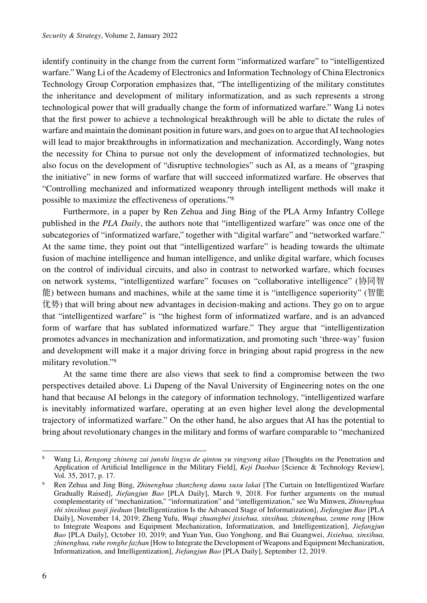identify continuity in the change from the current form "informatized warfare" to "intelligentized warfare." Wang Li of the Academy of Electronics and Information Technology of China Electronics Technology Group Corporation emphasizes that, "The intelligentizing of the military constitutes the inheritance and development of military informatization, and as such represents a strong technological power that will gradually change the form of informatized warfare." Wang Li notes that the first power to achieve a technological breakthrough will be able to dictate the rules of warfare and maintain the dominant position in future wars, and goes on to argue that AI technologies will lead to major breakthroughs in informatization and mechanization. Accordingly, Wang notes the necessity for China to pursue not only the development of informatized technologies, but also focus on the development of "disruptive technologies" such as AI, as a means of "grasping the initiative" in new forms of warfare that will succeed informatized warfare. He observes that "Controlling mechanized and informatized weaponry through intelligent methods will make it possible to maximize the effectiveness of operations."8

Furthermore, in a paper by Ren Zehua and Jing Bing of the PLA Army Infantry College published in the *PLA Daily*, the authors note that "intelligentized warfare" was once one of the subcategories of "informatized warfare," together with "digital warfare" and "networked warfare." At the same time, they point out that "intelligentized warfare" is heading towards the ultimate fusion of machine intelligence and human intelligence, and unlike digital warfare, which focuses on the control of individual circuits, and also in contrast to networked warfare, which focuses on network systems, "intelligentized warfare" focuses on "collaborative intelligence" (协同智 能) between humans and machines, while at the same time it is "intelligence superiority" (智能 优势) that will bring about new advantages in decision-making and actions. They go on to argue that "intelligentized warfare" is "the highest form of informatized warfare, and is an advanced form of warfare that has sublated informatized warfare." They argue that "intelligentization promotes advances in mechanization and informatization, and promoting such 'three-way' fusion and development will make it a major driving force in bringing about rapid progress in the new military revolution."9

At the same time there are also views that seek to find a compromise between the two perspectives detailed above. Li Dapeng of the Naval University of Engineering notes on the one hand that because AI belongs in the category of information technology, "intelligentized warfare is inevitably informatized warfare, operating at an even higher level along the developmental trajectory of informatized warfare." On the other hand, he also argues that AI has the potential to bring about revolutionary changes in the military and forms of warfare comparable to "mechanized

<sup>8</sup> Wang Li, *Rengong zhineng zai junshi lingyu de qintou yu yingyong sikao* [Thoughts on the Penetration and Application of Artificial Intelligence in the Military Field], *Keji Daobao* [Science & Technology Review], Vol. 35, 2017, p. 17.

<sup>9</sup> Ren Zehua and Jing Bing, *Zhinenghua zhanzheng damu xuxu lakai* [The Curtain on Intelligentized Warfare Gradually Raised], *Jiefangjun Bao* [PLA Daily], March 9, 2018. For further arguments on the mutual complementarity of "mechanization," "informatization" and "intelligentization," see Wu Minwen, *Zhinenghua shi xinxihua gaoji jieduan* [Intelligentization Is the Advanced Stage of Informatization], *Jiefangjun Bao* [PLA Daily], November 14, 2019; Zheng Yufu, *Wuqi zhuangbei jixiehua, xinxihua, zhinenghua, zenme rong* [How to Integrate Weapons and Equipment Mechanization, Informatization, and Intelligentization], *Jiefangjun Bao* [PLA Daily], October 10, 2019; and Yuan Yun, Guo Yonghong, and Bai Guangwei, *Jixiehua, xinxihua, zhinenghua, ruhe ronghe fazhan* [How to Integrate the Development of Weapons and Equipment Mechanization, Informatization, and Intelligentization], *Jiefangjun Bao* [PLA Daily], September 12, 2019.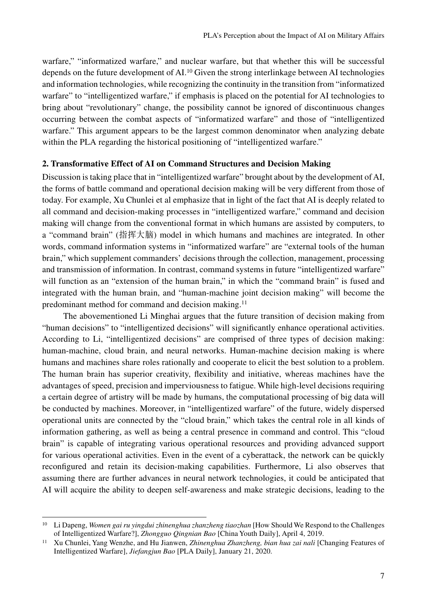warfare," "informatized warfare," and nuclear warfare, but that whether this will be successful depends on the future development of AI.10 Given the strong interlinkage between AI technologies and information technologies, while recognizing the continuity in the transition from "informatized warfare" to "intelligentized warfare," if emphasis is placed on the potential for AI technologies to bring about "revolutionary" change, the possibility cannot be ignored of discontinuous changes occurring between the combat aspects of "informatized warfare" and those of "intelligentized warfare." This argument appears to be the largest common denominator when analyzing debate within the PLA regarding the historical positioning of "intelligentized warfare."

## **2. Transformative Effect of AI on Command Structures and Decision Making**

Discussion is taking place that in "intelligentized warfare" brought about by the development of AI, the forms of battle command and operational decision making will be very different from those of today. For example, Xu Chunlei et al emphasize that in light of the fact that AI is deeply related to all command and decision-making processes in "intelligentized warfare," command and decision making will change from the conventional format in which humans are assisted by computers, to a "command brain" (指挥大脑) model in which humans and machines are integrated. In other words, command information systems in "informatized warfare" are "external tools of the human brain," which supplement commanders' decisions through the collection, management, processing and transmission of information. In contrast, command systems in future "intelligentized warfare" will function as an "extension of the human brain," in which the "command brain" is fused and integrated with the human brain, and "human-machine joint decision making" will become the predominant method for command and decision making.<sup>11</sup>

The abovementioned Li Minghai argues that the future transition of decision making from "human decisions" to "intelligentized decisions" will significantly enhance operational activities. According to Li, "intelligentized decisions" are comprised of three types of decision making: human-machine, cloud brain, and neural networks. Human-machine decision making is where humans and machines share roles rationally and cooperate to elicit the best solution to a problem. The human brain has superior creativity, flexibility and initiative, whereas machines have the advantages of speed, precision and imperviousness to fatigue. While high-level decisions requiring a certain degree of artistry will be made by humans, the computational processing of big data will be conducted by machines. Moreover, in "intelligentized warfare" of the future, widely dispersed operational units are connected by the "cloud brain," which takes the central role in all kinds of information gathering, as well as being a central presence in command and control. This "cloud brain" is capable of integrating various operational resources and providing advanced support for various operational activities. Even in the event of a cyberattack, the network can be quickly reconfigured and retain its decision-making capabilities. Furthermore, Li also observes that assuming there are further advances in neural network technologies, it could be anticipated that AI will acquire the ability to deepen self-awareness and make strategic decisions, leading to the

<sup>&</sup>lt;sup>10</sup> Li Dapeng, *Women gai ru yingdui zhinenghua zhanzheng tiaozhan* [How Should We Respond to the Challenges of Intelligentized Warfare?], *Zhongguo Qingnian Bao* [China Youth Daily], April 4, 2019.

<sup>&</sup>lt;sup>11</sup> Xu Chunlei, Yang Wenzhe, and Hu Jianwen, *Zhinenghua Zhanzheng, bian hua zai nali* [Changing Features of Intelligentized Warfare], *Jiefangjun Bao* [PLA Daily], January 21, 2020.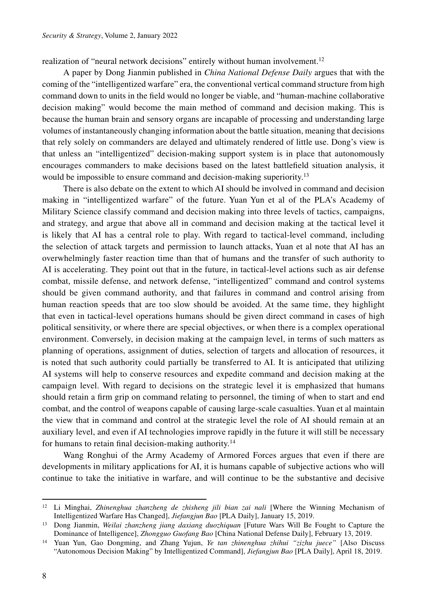realization of "neural network decisions" entirely without human involvement.<sup>12</sup>

A paper by Dong Jianmin published in *China National Defense Daily* argues that with the coming of the "intelligentized warfare" era, the conventional vertical command structure from high command down to units in the field would no longer be viable, and "human-machine collaborative decision making" would become the main method of command and decision making. This is because the human brain and sensory organs are incapable of processing and understanding large volumes of instantaneously changing information about the battle situation, meaning that decisions that rely solely on commanders are delayed and ultimately rendered of little use. Dong's view is that unless an "intelligentized" decision-making support system is in place that autonomously encourages commanders to make decisions based on the latest battlefield situation analysis, it would be impossible to ensure command and decision-making superiority.<sup>13</sup>

There is also debate on the extent to which AI should be involved in command and decision making in "intelligentized warfare" of the future. Yuan Yun et al of the PLA's Academy of Military Science classify command and decision making into three levels of tactics, campaigns, and strategy, and argue that above all in command and decision making at the tactical level it is likely that AI has a central role to play. With regard to tactical-level command, including the selection of attack targets and permission to launch attacks, Yuan et al note that AI has an overwhelmingly faster reaction time than that of humans and the transfer of such authority to AI is accelerating. They point out that in the future, in tactical-level actions such as air defense combat, missile defense, and network defense, "intelligentized" command and control systems should be given command authority, and that failures in command and control arising from human reaction speeds that are too slow should be avoided. At the same time, they highlight that even in tactical-level operations humans should be given direct command in cases of high political sensitivity, or where there are special objectives, or when there is a complex operational environment. Conversely, in decision making at the campaign level, in terms of such matters as planning of operations, assignment of duties, selection of targets and allocation of resources, it is noted that such authority could partially be transferred to AI. It is anticipated that utilizing AI systems will help to conserve resources and expedite command and decision making at the campaign level. With regard to decisions on the strategic level it is emphasized that humans should retain a firm grip on command relating to personnel, the timing of when to start and end combat, and the control of weapons capable of causing large-scale casualties. Yuan et al maintain the view that in command and control at the strategic level the role of AI should remain at an auxiliary level, and even if AI technologies improve rapidly in the future it will still be necessary for humans to retain final decision-making authority.14

Wang Ronghui of the Army Academy of Armored Forces argues that even if there are developments in military applications for AI, it is humans capable of subjective actions who will continue to take the initiative in warfare, and will continue to be the substantive and decisive

<sup>12</sup> Li Minghai, *Zhinenghua zhanzheng de zhisheng jili bian zai nali* [Where the Winning Mechanism of Intelligentized Warfare Has Changed], *Jiefangjun Bao* [PLA Daily], January 15, 2019.

<sup>13</sup> Dong Jianmin, *Weilai zhanzheng jiang daxiang duozhiquan* [Future Wars Will Be Fought to Capture the Dominance of Intelligence], *Zhongguo Guofang Bao* [China National Defense Daily], February 13, 2019.

<sup>14</sup> Yuan Yun, Gao Dongming, and Zhang Yujun, *Ye tan zhinenghua zhihui "zizhu juece"* [Also Discuss "Autonomous Decision Making" by Intelligentized Command], *Jiefangjun Bao* [PLA Daily], April 18, 2019.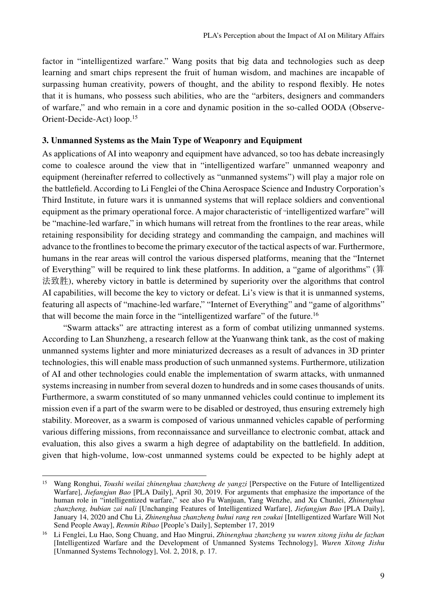factor in "intelligentized warfare." Wang posits that big data and technologies such as deep learning and smart chips represent the fruit of human wisdom, and machines are incapable of surpassing human creativity, powers of thought, and the ability to respond flexibly. He notes that it is humans, who possess such abilities, who are the "arbiters, designers and commanders of warfare," and who remain in a core and dynamic position in the so-called OODA (Observe-Orient-Decide-Act) loop.15

## **3. Unmanned Systems as the Main Type of Weaponry and Equipment**

As applications of AI into weaponry and equipment have advanced, so too has debate increasingly come to coalesce around the view that in "intelligentized warfare" unmanned weaponry and equipment (hereinafter referred to collectively as "unmanned systems") will play a major role on the battlefield. According to Li Fenglei of the China Aerospace Science and Industry Corporation's Third Institute, in future wars it is unmanned systems that will replace soldiers and conventional equipment as the primary operational force. A major characteristic of "intelligentized warfare" will be "machine-led warfare," in which humans will retreat from the frontlines to the rear areas, while retaining responsibility for deciding strategy and commanding the campaign, and machines will advance to the frontlines to become the primary executor of the tactical aspects of war. Furthermore, humans in the rear areas will control the various dispersed platforms, meaning that the "Internet of Everything" will be required to link these platforms. In addition, a "game of algorithms" (算 法致胜), whereby victory in battle is determined by superiority over the algorithms that control AI capabilities, will become the key to victory or defeat. Li's view is that it is unmanned systems, featuring all aspects of "machine-led warfare," "Internet of Everything" and "game of algorithms" that will become the main force in the "intelligentized warfare" of the future.16

"Swarm attacks" are attracting interest as a form of combat utilizing unmanned systems. According to Lan Shunzheng, a research fellow at the Yuanwang think tank, as the cost of making unmanned systems lighter and more miniaturized decreases as a result of advances in 3D printer technologies, this will enable mass production of such unmanned systems. Furthermore, utilization of AI and other technologies could enable the implementation of swarm attacks, with unmanned systems increasing in number from several dozen to hundreds and in some cases thousands of units. Furthermore, a swarm constituted of so many unmanned vehicles could continue to implement its mission even if a part of the swarm were to be disabled or destroyed, thus ensuring extremely high stability. Moreover, as a swarm is composed of various unmanned vehicles capable of performing various differing missions, from reconnaissance and surveillance to electronic combat, attack and evaluation, this also gives a swarm a high degree of adaptability on the battlefield. In addition, given that high-volume, low-cost unmanned systems could be expected to be highly adept at

<sup>15</sup> Wang Ronghui, *Toushi weilai zhinenghua zhanzheng de yangzi* [Perspective on the Future of Intelligentized Warfare], *Jiefangjun Bao* [PLA Daily], April 30, 2019. For arguments that emphasize the importance of the human role in "intelligentized warfare," see also Fu Wanjuan, Yang Wenzhe, and Xu Chunlei, *Zhinenghua zhanzheng, bubian zai nali* [Unchanging Features of Intelligentized Warfare], *Jiefangjun Bao* [PLA Daily], January 14, 2020 and Chu Li, *Zhinenghua zhanzheng buhui rang ren zoukai* [Intelligentized Warfare Will Not Send People Away], *Renmin Ribao* [People's Daily], September 17, 2019

<sup>16</sup> Li Fenglei, Lu Hao, Song Chuang, and Hao Mingrui, *Zhinenghua zhanzheng yu wuren xitong jishu de fazhan*  [Intelligentized Warfare and the Development of Unmanned Systems Technology], *Wuren Xitong Jishu*  [Unmanned Systems Technology], Vol. 2, 2018, p. 17.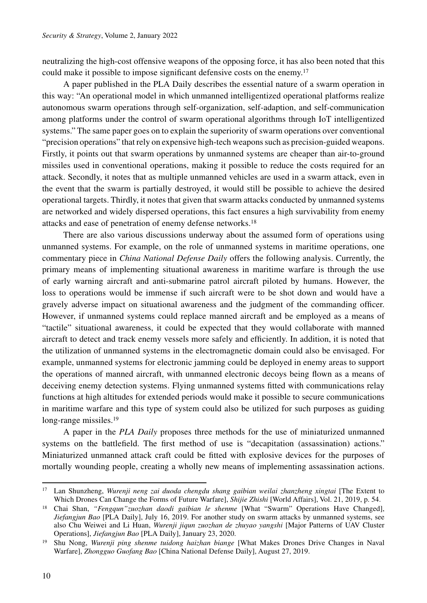neutralizing the high-cost offensive weapons of the opposing force, it has also been noted that this could make it possible to impose significant defensive costs on the enemy.17

A paper published in the PLA Daily describes the essential nature of a swarm operation in this way: "An operational model in which unmanned intelligentized operational platforms realize autonomous swarm operations through self-organization, self-adaption, and self-communication among platforms under the control of swarm operational algorithms through IoT intelligentized systems." The same paper goes on to explain the superiority of swarm operations over conventional "precision operations" that rely on expensive high-tech weapons such as precision-guided weapons. Firstly, it points out that swarm operations by unmanned systems are cheaper than air-to-ground missiles used in conventional operations, making it possible to reduce the costs required for an attack. Secondly, it notes that as multiple unmanned vehicles are used in a swarm attack, even in the event that the swarm is partially destroyed, it would still be possible to achieve the desired operational targets. Thirdly, it notes that given that swarm attacks conducted by unmanned systems are networked and widely dispersed operations, this fact ensures a high survivability from enemy attacks and ease of penetration of enemy defense networks.18

There are also various discussions underway about the assumed form of operations using unmanned systems. For example, on the role of unmanned systems in maritime operations, one commentary piece in *China National Defense Daily* offers the following analysis. Currently, the primary means of implementing situational awareness in maritime warfare is through the use of early warning aircraft and anti-submarine patrol aircraft piloted by humans. However, the loss to operations would be immense if such aircraft were to be shot down and would have a gravely adverse impact on situational awareness and the judgment of the commanding officer. However, if unmanned systems could replace manned aircraft and be employed as a means of "tactile" situational awareness, it could be expected that they would collaborate with manned aircraft to detect and track enemy vessels more safely and efficiently. In addition, it is noted that the utilization of unmanned systems in the electromagnetic domain could also be envisaged. For example, unmanned systems for electronic jamming could be deployed in enemy areas to support the operations of manned aircraft, with unmanned electronic decoys being flown as a means of deceiving enemy detection systems. Flying unmanned systems fitted with communications relay functions at high altitudes for extended periods would make it possible to secure communications in maritime warfare and this type of system could also be utilized for such purposes as guiding long-range missiles.<sup>19</sup>

A paper in the *PLA Daily* proposes three methods for the use of miniaturized unmanned systems on the battlefield. The first method of use is "decapitation (assassination) actions." Miniaturized unmanned attack craft could be fitted with explosive devices for the purposes of mortally wounding people, creating a wholly new means of implementing assassination actions.

<sup>17</sup> Lan Shunzheng, *Wurenji neng zai duoda chengdu shang gaibian weilai zhanzheng xingtai* [The Extent to Which Drones Can Change the Forms of Future Warfare], *Shijie Zhishi* [World Affairs], Vol. 21, 2019, p. 54.

<sup>18</sup> Chai Shan, *"Fengqun"zuozhan daodi gaibian le shenme* [What "Swarm" Operations Have Changed], *Jiefangjun Bao* [PLA Daily], July 16, 2019. For another study on swarm attacks by unmanned systems, see also Chu Weiwei and Li Huan, *Wurenji jiqun zuozhan de zhuyao yangshi* [Major Patterns of UAV Cluster

<sup>&</sup>lt;sup>19</sup> Shu Nong, *Wurenji ping shenme tuidong haizhan biange* [What Makes Drones Drive Changes in Naval Warfare], *Zhongguo Guofang Bao* [China National Defense Daily], August 27, 2019.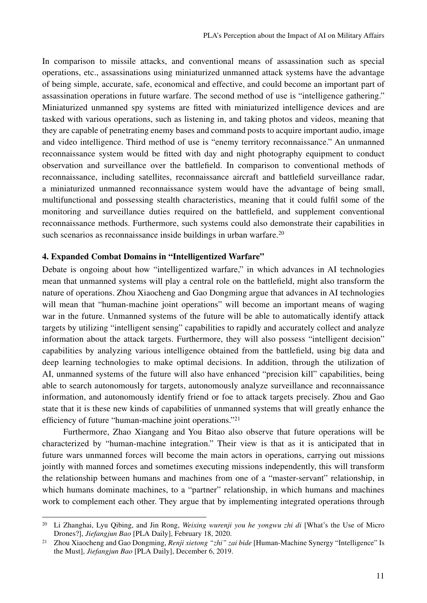In comparison to missile attacks, and conventional means of assassination such as special operations, etc., assassinations using miniaturized unmanned attack systems have the advantage of being simple, accurate, safe, economical and effective, and could become an important part of assassination operations in future warfare. The second method of use is "intelligence gathering." Miniaturized unmanned spy systems are fitted with miniaturized intelligence devices and are tasked with various operations, such as listening in, and taking photos and videos, meaning that they are capable of penetrating enemy bases and command posts to acquire important audio, image and video intelligence. Third method of use is "enemy territory reconnaissance." An unmanned reconnaissance system would be fitted with day and night photography equipment to conduct observation and surveillance over the battlefield. In comparison to conventional methods of reconnaissance, including satellites, reconnaissance aircraft and battlefield surveillance radar, a miniaturized unmanned reconnaissance system would have the advantage of being small, multifunctional and possessing stealth characteristics, meaning that it could fulfil some of the monitoring and surveillance duties required on the battlefield, and supplement conventional reconnaissance methods. Furthermore, such systems could also demonstrate their capabilities in such scenarios as reconnaissance inside buildings in urban warfare.<sup>20</sup>

## **4. Expanded Combat Domains in "Intelligentized Warfare"**

Debate is ongoing about how "intelligentized warfare," in which advances in AI technologies mean that unmanned systems will play a central role on the battlefield, might also transform the nature of operations. Zhou Xiaocheng and Gao Dongming argue that advances in AI technologies will mean that "human-machine joint operations" will become an important means of waging war in the future. Unmanned systems of the future will be able to automatically identify attack targets by utilizing "intelligent sensing" capabilities to rapidly and accurately collect and analyze information about the attack targets. Furthermore, they will also possess "intelligent decision" capabilities by analyzing various intelligence obtained from the battlefield, using big data and deep learning technologies to make optimal decisions. In addition, through the utilization of AI, unmanned systems of the future will also have enhanced "precision kill" capabilities, being able to search autonomously for targets, autonomously analyze surveillance and reconnaissance information, and autonomously identify friend or foe to attack targets precisely. Zhou and Gao state that it is these new kinds of capabilities of unmanned systems that will greatly enhance the efficiency of future "human-machine joint operations."21

Furthermore, Zhao Xiangang and You Bitao also observe that future operations will be characterized by "human-machine integration." Their view is that as it is anticipated that in future wars unmanned forces will become the main actors in operations, carrying out missions jointly with manned forces and sometimes executing missions independently, this will transform the relationship between humans and machines from one of a "master-servant" relationship, in which humans dominate machines, to a "partner" relationship, in which humans and machines work to complement each other. They argue that by implementing integrated operations through

<sup>20</sup> Li Zhanghai, Lyu Qibing, and Jin Rong, *Weixing wurenji you he yongwu zhi di* [What's the Use of Micro Drones?], *Jiefangjun Bao* [PLA Daily], February 18, 2020.

<sup>21</sup> Zhou Xiaocheng and Gao Dongming, *Renji xietong "zhi" zai bide* [Human-Machine Synergy "Intelligence" Is the Must], *Jiefangjun Bao* [PLA Daily], December 6, 2019.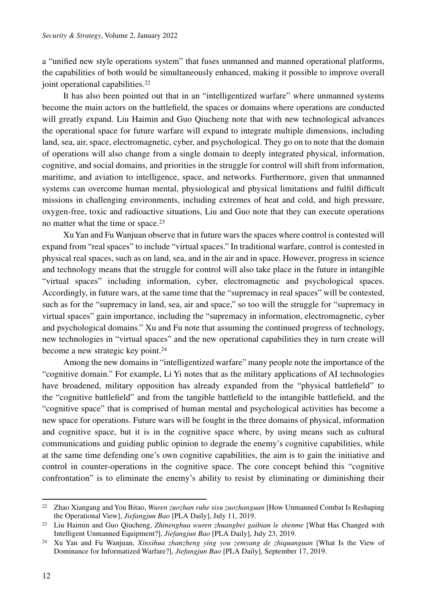a "unified new style operations system" that fuses unmanned and manned operational platforms, the capabilities of both would be simultaneously enhanced, making it possible to improve overall joint operational capabilities.<sup>22</sup>

It has also been pointed out that in an "intelligentized warfare" where unmanned systems become the main actors on the battlefield, the spaces or domains where operations are conducted will greatly expand. Liu Haimin and Guo Qiucheng note that with new technological advances the operational space for future warfare will expand to integrate multiple dimensions, including land, sea, air, space, electromagnetic, cyber, and psychological. They go on to note that the domain of operations will also change from a single domain to deeply integrated physical, information, cognitive, and social domains, and priorities in the struggle for control will shift from information, maritime, and aviation to intelligence, space, and networks. Furthermore, given that unmanned systems can overcome human mental, physiological and physical limitations and fulfil difficult missions in challenging environments, including extremes of heat and cold, and high pressure, oxygen-free, toxic and radioactive situations, Liu and Guo note that they can execute operations no matter what the time or space.<sup>23</sup>

Xu Yan and Fu Wanjuan observe that in future wars the spaces where control is contested will expand from "real spaces" to include "virtual spaces." In traditional warfare, control is contested in physical real spaces, such as on land, sea, and in the air and in space. However, progress in science and technology means that the struggle for control will also take place in the future in intangible "virtual spaces" including information, cyber, electromagnetic and psychological spaces. Accordingly, in future wars, at the same time that the "supremacy in real spaces" will be contested, such as for the "supremacy in land, sea, air and space," so too will the struggle for "supremacy in virtual spaces" gain importance, including the "supremacy in information, electromagnetic, cyber and psychological domains." Xu and Fu note that assuming the continued progress of technology, new technologies in "virtual spaces" and the new operational capabilities they in turn create will become a new strategic key point.<sup>24</sup>

Among the new domains in "intelligentized warfare" many people note the importance of the "cognitive domain." For example, Li Yi notes that as the military applications of AI technologies have broadened, military opposition has already expanded from the "physical battlefield" to the "cognitive battlefield" and from the tangible battlefield to the intangible battlefield, and the "cognitive space" that is comprised of human mental and psychological activities has become a new space for operations. Future wars will be fought in the three domains of physical, information and cognitive space, but it is in the cognitive space where, by using means such as cultural communications and guiding public opinion to degrade the enemy's cognitive capabilities, while at the same time defending one's own cognitive capabilities, the aim is to gain the initiative and control in counter-operations in the cognitive space. The core concept behind this "cognitive confrontation" is to eliminate the enemy's ability to resist by eliminating or diminishing their

<sup>22</sup> Zhao Xiangang and You Bitao, *Wuren zuozhan ruhe sisu zuozhanguan* [How Unmanned Combat Is Reshaping the Operational View], *Jiefangjun Bao* [PLA Daily], July 11, 2019.

<sup>23</sup> Liu Haimin and Guo Qiucheng, *Zhinenghua wuren zhuangbei gaibian le shenme* [What Has Changed with Intelligent Unmanned Equipment?], *Jiefangjun Bao* [PLA Daily], July 23, 2019.

<sup>24</sup> Xu Yan and Fu Wanjuan, *Xinxihua zhanzheng ying you zemyang de zhiquanguan* [What Is the View of Dominance for Informatized Warfare?], *Jiefangjun Bao* [PLA Daily], September 17, 2019.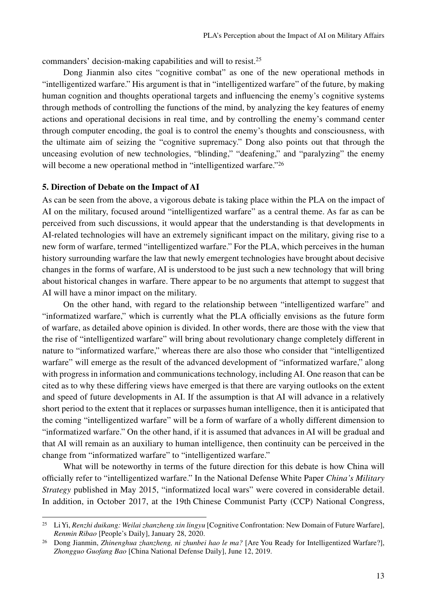commanders' decision-making capabilities and will to resist.25

Dong Jianmin also cites "cognitive combat" as one of the new operational methods in "intelligentized warfare." His argument is that in "intelligentized warfare" of the future, by making human cognition and thoughts operational targets and influencing the enemy's cognitive systems through methods of controlling the functions of the mind, by analyzing the key features of enemy actions and operational decisions in real time, and by controlling the enemy's command center through computer encoding, the goal is to control the enemy's thoughts and consciousness, with the ultimate aim of seizing the "cognitive supremacy." Dong also points out that through the unceasing evolution of new technologies, "blinding," "deafening," and "paralyzing" the enemy will become a new operational method in "intelligentized warfare."<sup>26</sup>

### **5. Direction of Debate on the Impact of AI**

As can be seen from the above, a vigorous debate is taking place within the PLA on the impact of AI on the military, focused around "intelligentized warfare" as a central theme. As far as can be perceived from such discussions, it would appear that the understanding is that developments in AI-related technologies will have an extremely significant impact on the military, giving rise to a new form of warfare, termed "intelligentized warfare." For the PLA, which perceives in the human history surrounding warfare the law that newly emergent technologies have brought about decisive changes in the forms of warfare, AI is understood to be just such a new technology that will bring about historical changes in warfare. There appear to be no arguments that attempt to suggest that AI will have a minor impact on the military.

On the other hand, with regard to the relationship between "intelligentized warfare" and "informatized warfare," which is currently what the PLA officially envisions as the future form of warfare, as detailed above opinion is divided. In other words, there are those with the view that the rise of "intelligentized warfare" will bring about revolutionary change completely different in nature to "informatized warfare," whereas there are also those who consider that "intelligentized warfare" will emerge as the result of the advanced development of "informatized warfare," along with progress in information and communications technology, including AI. One reason that can be cited as to why these differing views have emerged is that there are varying outlooks on the extent and speed of future developments in AI. If the assumption is that AI will advance in a relatively short period to the extent that it replaces or surpasses human intelligence, then it is anticipated that the coming "intelligentized warfare" will be a form of warfare of a wholly different dimension to "informatized warfare." On the other hand, if it is assumed that advances in AI will be gradual and that AI will remain as an auxiliary to human intelligence, then continuity can be perceived in the change from "informatized warfare" to "intelligentized warfare."

What will be noteworthy in terms of the future direction for this debate is how China will officially refer to "intelligentized warfare." In the National Defense White Paper *China's Military Strategy* published in May 2015, "informatized local wars" were covered in considerable detail. In addition, in October 2017, at the 19th Chinese Communist Party (CCP) National Congress,

<sup>25</sup> Li Yi, *Renzhi duikang: Weilai zhanzheng xin lingyu* [Cognitive Confrontation: New Domain of Future Warfare], *Renmin Ribao* [People's Daily], January 28, 2020.

<sup>26</sup> Dong Jianmin, *Zhinenghua zhanzheng, ni zhunbei hao le ma?* [Are You Ready for Intelligentized Warfare?], *Zhongguo Guofang Bao* [China National Defense Daily], June 12, 2019.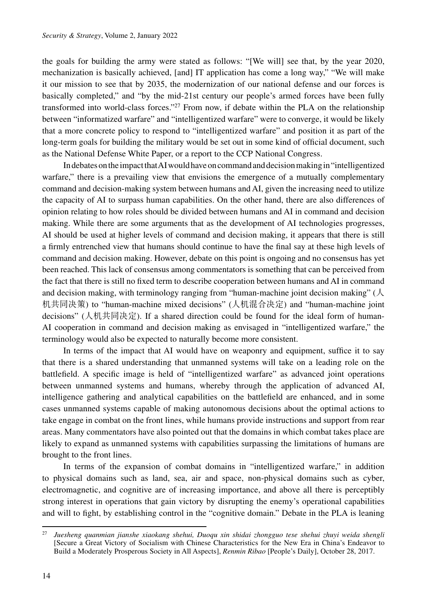the goals for building the army were stated as follows: "[We will] see that, by the year 2020, mechanization is basically achieved, [and] IT application has come a long way," "We will make it our mission to see that by 2035, the modernization of our national defense and our forces is basically completed," and "by the mid-21st century our people's armed forces have been fully transformed into world-class forces."27 From now, if debate within the PLA on the relationship between "informatized warfare" and "intelligentized warfare" were to converge, it would be likely that a more concrete policy to respond to "intelligentized warfare" and position it as part of the long-term goals for building the military would be set out in some kind of official document, such as the National Defense White Paper, or a report to the CCP National Congress.

In debates on the impact that AI would have on command and decision making in "intelligentized warfare," there is a prevailing view that envisions the emergence of a mutually complementary command and decision-making system between humans and AI, given the increasing need to utilize the capacity of AI to surpass human capabilities. On the other hand, there are also differences of opinion relating to how roles should be divided between humans and AI in command and decision making. While there are some arguments that as the development of AI technologies progresses, AI should be used at higher levels of command and decision making, it appears that there is still a firmly entrenched view that humans should continue to have the final say at these high levels of command and decision making. However, debate on this point is ongoing and no consensus has yet been reached. This lack of consensus among commentators is something that can be perceived from the fact that there is still no fixed term to describe cooperation between humans and AI in command and decision making, with terminology ranging from "human-machine joint decision making" ( $\Diamond$ 机共同决策) to "human-machine mixed decisions" (人机混合决定) and "human-machine joint decisions" (人机共同决定). If a shared direction could be found for the ideal form of human-AI cooperation in command and decision making as envisaged in "intelligentized warfare," the terminology would also be expected to naturally become more consistent.

In terms of the impact that AI would have on weaponry and equipment, suffice it to say that there is a shared understanding that unmanned systems will take on a leading role on the battlefield. A specific image is held of "intelligentized warfare" as advanced joint operations between unmanned systems and humans, whereby through the application of advanced AI, intelligence gathering and analytical capabilities on the battlefield are enhanced, and in some cases unmanned systems capable of making autonomous decisions about the optimal actions to take engage in combat on the front lines, while humans provide instructions and support from rear areas. Many commentators have also pointed out that the domains in which combat takes place are likely to expand as unmanned systems with capabilities surpassing the limitations of humans are brought to the front lines.

In terms of the expansion of combat domains in "intelligentized warfare," in addition to physical domains such as land, sea, air and space, non-physical domains such as cyber, electromagnetic, and cognitive are of increasing importance, and above all there is perceptibly strong interest in operations that gain victory by disrupting the enemy's operational capabilities and will to fight, by establishing control in the "cognitive domain." Debate in the PLA is leaning

<sup>27</sup> *Juesheng quanmian jianshe xiaokang shehui, Duoqu xin shidai zhongguo tese shehui zhuyi weida shengli*  [Secure a Great Victory of Socialism with Chinese Characteristics for the New Era in China's Endeavor to Build a Moderately Prosperous Society in All Aspects], *Renmin Ribao* [People's Daily], October 28, 2017.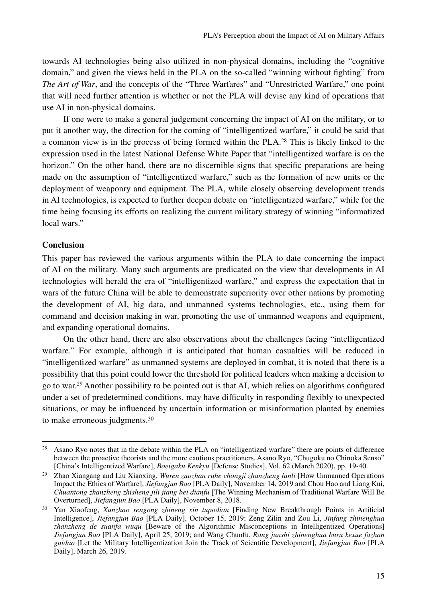towards AI technologies being also utilized in non-physical domains, including the "cognitive domain," and given the views held in the PLA on the so-called "winning without fighting" from *The Art of War*, and the concepts of the "Three Warfares" and "Unrestricted Warfare," one point that will need further attention is whether or not the PLA will devise any kind of operations that use AI in non-physical domains.

If one were to make a general judgement concerning the impact of AI on the military, or to put it another way, the direction for the coming of "intelligentized warfare," it could be said that a common view is in the process of being formed within the PLA.28 This is likely linked to the expression used in the latest National Defense White Paper that "intelligentized warfare is on the horizon." On the other hand, there are no discernible signs that specific preparations are being made on the assumption of "intelligentized warfare," such as the formation of new units or the deployment of weaponry and equipment. The PLA, while closely observing development trends in AI technologies, is expected to further deepen debate on "intelligentized warfare," while for the time being focusing its efforts on realizing the current military strategy of winning "informatized local wars."

### **Conclusion**

This paper has reviewed the various arguments within the PLA to date concerning the impact of AI on the military. Many such arguments are predicated on the view that developments in AI technologies will herald the era of "intelligentized warfare," and express the expectation that in wars of the future China will be able to demonstrate superiority over other nations by promoting the development of AI, big data, and unmanned systems technologies, etc., using them for command and decision making in war, promoting the use of unmanned weapons and equipment, and expanding operational domains.

On the other hand, there are also observations about the challenges facing "intelligentized warfare." For example, although it is anticipated that human casualties will be reduced in "intelligentized warfare" as unmanned systems are deployed in combat, it is noted that there is a possibility that this point could lower the threshold for political leaders when making a decision to go to war.29 Another possibility to be pointed out is that AI, which relies on algorithms configured under a set of predetermined conditions, may have difficulty in responding flexibly to unexpected situations, or may be influenced by uncertain information or misinformation planted by enemies to make erroneous judgments.<sup>30</sup>

<sup>28</sup> Asano Ryo notes that in the debate within the PLA on "intelligentized warfare" there are points of difference between the proactive theorists and the more cautious practitioners. Asano Ryo, "Chugoku no Chinoka Senso" [China's Intelligentized Warfare], *Boeigaku Kenkyu* [Defense Studies], Vol. 62 (March 2020), pp. 19-40.

<sup>29</sup> Zhao Xiangang and Liu Xiaoxing, *Wuren zuozhan ruhe chongji zhanzheng lunli* [How Unmanned Operations Impact the Ethics of Warfare], *Jiefangjun Bao* [PLA Daily], November 14, 2019 and Chou Hao and Liang Kui, *Chuantong zhanzheng zhisheng jili jiang bei dianfu* [The Winning Mechanism of Traditional Warfare Will Be Overturned], *Jiefangjun Bao* [PLA Daily], November 8, 2018.

<sup>30</sup> Yan Xiaofeng, *Xunzhao rengong zhineng xin tupodian* [Finding New Breakthrough Points in Artificial Intelligence], *Jiefangjun Bao* [PLA Daily], October 15, 2019; Zeng Zilin and Zou Li, *Jinfang zhinenghua zhanzheng de suanfa wuqu* [Beware of the Algorithmic Misconceptions in Intelligentized Operations] *Jiefangjun Bao* [PLA Daily], April 25, 2019; and Wang Chunfu, *Rang junshi zhinenghua buru kexue fazhan guidao* [Let the Military Intelligentization Join the Track of Scientific Development], *Jiefangjun Bao* [PLA Daily], March 26, 2019.